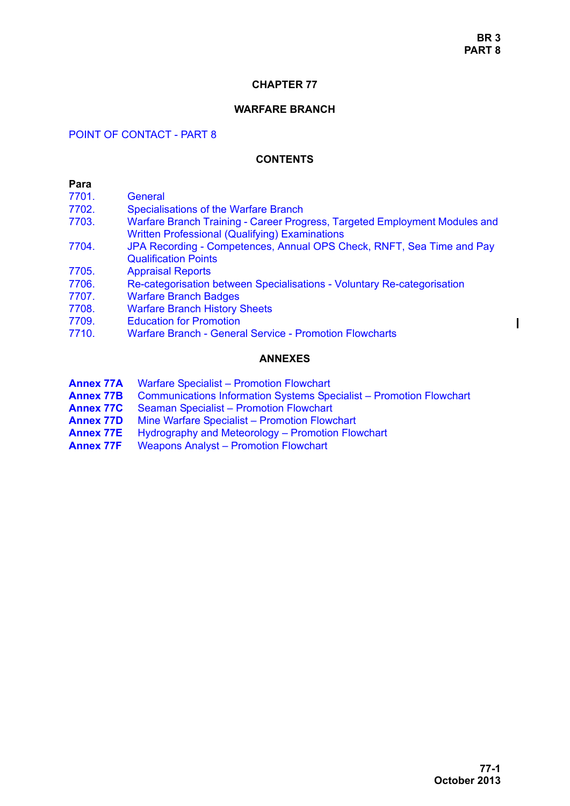### **CHAPTER 77**

### **WARFARE BRANCH**

# POINT OF CONTACT - PART 8

### **CONTENTS**

#### **Para**

### [7701. General](#page-1-0)

- [7702. Specialisations of the Warfare Branch](#page-1-1)
- [7703. Warfare Branch Training Career Progress, Targeted Employment Modules and](#page-2-0)  Written Professional (Qualifying) Examinations
- [7704. JPA Recording Competences, Annual OPS Check, RNFT, Sea Time and Pay](#page-5-0)  Qualification Points
- [7705. Appraisal Reports](#page-6-0)
- [7706. Re-categorisation between Specialisations Voluntary Re-categorisation](#page-6-1)
- [7707. Warfare Branch Badges](#page-7-0)
- [7708. Warfare Branch History Sheets](#page-7-2)
- [7709. Education for Promotion](#page-7-2)
- [7710. Warfare Branch General Service Promotion Flowcharts](#page-7-1)

#### **ANNEXES**

- **Annex 77A** Warfare Specialist Promotion Flowchart
- **Annex 77B** Communications Information Systems Specialist Promotion Flowchart
- **Annex 77C** Seaman Specialist Promotion Flowchart
- **Annex 77D** Mine Warfare Specialist Promotion Flowchart
- **Annex 77E** Hydrography and Meteorology Promotion Flowchart
- **Annex 77F** Weapons Analyst Promotion Flowchart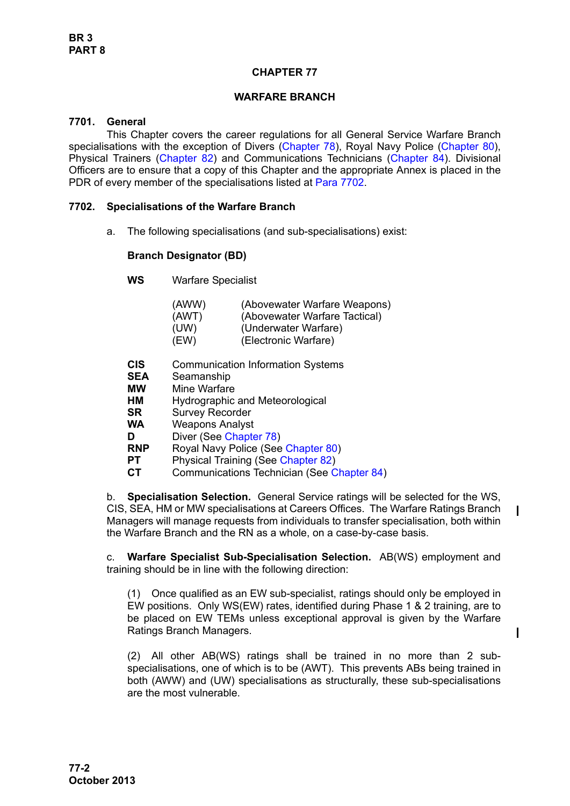# **CHAPTER 77**

# **WARFARE BRANCH**

# <span id="page-1-0"></span>**7701. General**

This Chapter covers the career regulations for all General Service Warfare Branch specialisations with the exception of Divers (Chapter 78), Royal Navy Police (Chapter 80), Physical Trainers (Chapter 82) and Communications Technicians (Chapter 84). Divisional Officers are to ensure that a copy of this Chapter and the appropriate Annex is placed in the PDR of every member of the specialisations listed at [Para 7702](#page-1-1).

# <span id="page-1-1"></span>**7702. Specialisations of the Warfare Branch**

a. The following specialisations (and sub-specialisations) exist:

# **Branch Designator (BD)**

**WS** Warfare Specialist

| (AWW) | (Abovewater Warfare Weapons)  |
|-------|-------------------------------|
| (AWT) | (Abovewater Warfare Tactical) |
| (UW)  | (Underwater Warfare)          |
| (EW)  | (Electronic Warfare)          |

- **CIS** Communication Information Systems
- **SEA** Seamanship
- **MW** Mine Warfare
- **HM** Hydrographic and Meteorological
- **SR** Survey Recorder
- **WA** Weapons Analyst
- **D** Diver (See Chapter 78)
- **RNP** Royal Navy Police (See Chapter 80)
- **PT** Physical Training (See Chapter 82)
- **CT** Communications Technician (See Chapter 84)

b. **Specialisation Selection.** General Service ratings will be selected for the WS, CIS, SEA, HM or MW specialisations at Careers Offices. The Warfare Ratings Branch Managers will manage requests from individuals to transfer specialisation, both within the Warfare Branch and the RN as a whole, on a case-by-case basis.

c. **Warfare Specialist Sub-Specialisation Selection.** AB(WS) employment and training should be in line with the following direction:

(1) Once qualified as an EW sub-specialist, ratings should only be employed in EW positions. Only WS(EW) rates, identified during Phase 1 & 2 training, are to be placed on EW TEMs unless exceptional approval is given by the Warfare Ratings Branch Managers.

 $\mathbf I$ 

(2) All other AB(WS) ratings shall be trained in no more than 2 subspecialisations, one of which is to be (AWT). This prevents ABs being trained in both (AWW) and (UW) specialisations as structurally, these sub-specialisations are the most vulnerable.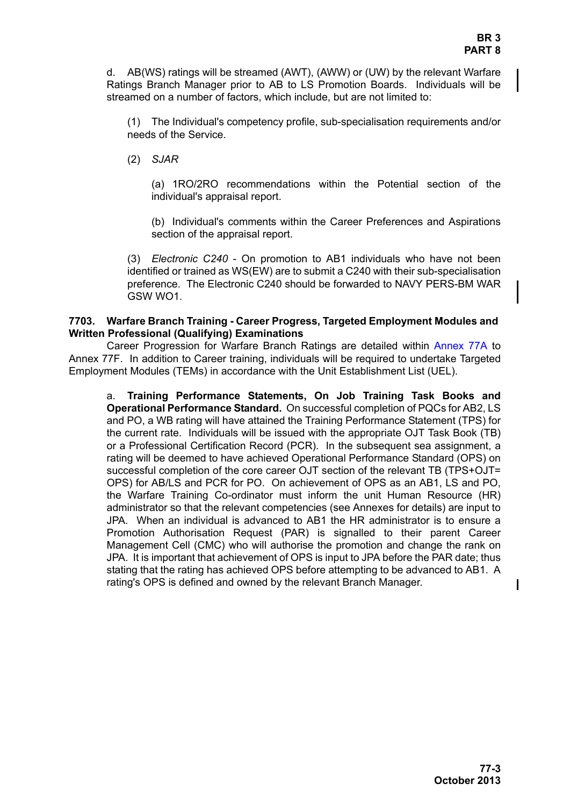$\blacksquare$ 

d. AB(WS) ratings will be streamed (AWT), (AWW) or (UW) by the relevant Warfare Ratings Branch Manager prior to AB to LS Promotion Boards. Individuals will be streamed on a number of factors, which include, but are not limited to:

(1) The Individual's competency profile, sub-specialisation requirements and/or needs of the Service.

(2) *SJAR*

(a) 1RO/2RO recommendations within the Potential section of the individual's appraisal report.

(b) Individual's comments within the Career Preferences and Aspirations section of the appraisal report.

(3) *Electronic C240* - On promotion to AB1 individuals who have not been identified or trained as WS(EW) are to submit a C240 with their sub-specialisation preference. The Electronic C240 should be forwarded to NAVY PERS-BM WAR GSW WO1.

### <span id="page-2-0"></span>**7703. Warfare Branch Training - Career Progress, Targeted Employment Modules and Written Professional (Qualifying) Examinations**

Career Progression for Warfare Branch Ratings are detailed within Annex 77A to Annex 77F. In addition to Career training, individuals will be required to undertake Targeted Employment Modules (TEMs) in accordance with the Unit Establishment List (UEL).

a. **Training Performance Statements, On Job Training Task Books and Operational Performance Standard.** On successful completion of PQCs for AB2, LS and PO, a WB rating will have attained the Training Performance Statement (TPS) for the current rate. Individuals will be issued with the appropriate OJT Task Book (TB) or a Professional Certification Record (PCR). In the subsequent sea assignment, a rating will be deemed to have achieved Operational Performance Standard (OPS) on successful completion of the core career OJT section of the relevant TB (TPS+OJT= OPS) for AB/LS and PCR for PO. On achievement of OPS as an AB1, LS and PO, the Warfare Training Co-ordinator must inform the unit Human Resource (HR) administrator so that the relevant competencies (see Annexes for details) are input to JPA. When an individual is advanced to AB1 the HR administrator is to ensure a Promotion Authorisation Request (PAR) is signalled to their parent Career Management Cell (CMC) who will authorise the promotion and change the rank on JPA. It is important that achievement of OPS is input to JPA before the PAR date; thus stating that the rating has achieved OPS before attempting to be advanced to AB1. A rating's OPS is defined and owned by the relevant Branch Manager.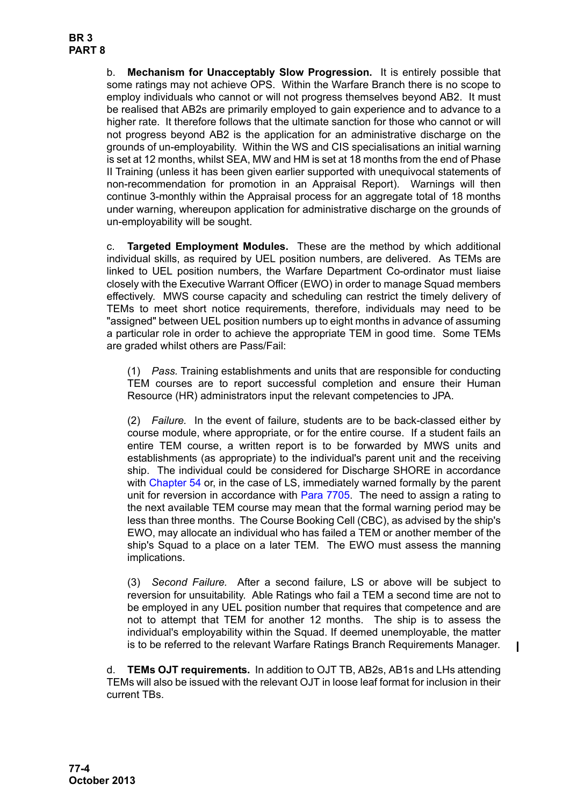b. **Mechanism for Unacceptably Slow Progression.** It is entirely possible that some ratings may not achieve OPS. Within the Warfare Branch there is no scope to employ individuals who cannot or will not progress themselves beyond AB2. It must be realised that AB2s are primarily employed to gain experience and to advance to a higher rate. It therefore follows that the ultimate sanction for those who cannot or will not progress beyond AB2 is the application for an administrative discharge on the grounds of un-employability. Within the WS and CIS specialisations an initial warning is set at 12 months, whilst SEA, MW and HM is set at 18 months from the end of Phase II Training (unless it has been given earlier supported with unequivocal statements of non-recommendation for promotion in an Appraisal Report). Warnings will then continue 3-monthly within the Appraisal process for an aggregate total of 18 months under warning, whereupon application for administrative discharge on the grounds of un-employability will be sought.

c. **Targeted Employment Modules.** These are the method by which additional individual skills, as required by UEL position numbers, are delivered. As TEMs are linked to UEL position numbers, the Warfare Department Co-ordinator must liaise closely with the Executive Warrant Officer (EWO) in order to manage Squad members effectively. MWS course capacity and scheduling can restrict the timely delivery of TEMs to meet short notice requirements, therefore, individuals may need to be "assigned" between UEL position numbers up to eight months in advance of assuming a particular role in order to achieve the appropriate TEM in good time. Some TEMs are graded whilst others are Pass/Fail:

(1) *Pass.* Training establishments and units that are responsible for conducting TEM courses are to report successful completion and ensure their Human Resource (HR) administrators input the relevant competencies to JPA.

(2) *Failure.* In the event of failure, students are to be back-classed either by course module, where appropriate, or for the entire course. If a student fails an entire TEM course, a written report is to be forwarded by MWS units and establishments (as appropriate) to the individual's parent unit and the receiving ship. The individual could be considered for Discharge SHORE in accordance with Chapter 54 or, in the case of LS, immediately warned formally by the parent unit for reversion in accordance with [Para 7705.](#page-6-0) The need to assign a rating to the next available TEM course may mean that the formal warning period may be less than three months. The Course Booking Cell (CBC), as advised by the ship's EWO, may allocate an individual who has failed a TEM or another member of the ship's Squad to a place on a later TEM. The EWO must assess the manning implications.

(3) *Second Failure.* After a second failure, LS or above will be subject to reversion for unsuitability. Able Ratings who fail a TEM a second time are not to be employed in any UEL position number that requires that competence and are not to attempt that TEM for another 12 months. The ship is to assess the individual's employability within the Squad. If deemed unemployable, the matter is to be referred to the relevant Warfare Ratings Branch Requirements Manager.

d. **TEMs OJT requirements.** In addition to OJT TB, AB2s, AB1s and LHs attending TEMs will also be issued with the relevant OJT in loose leaf format for inclusion in their current TBs.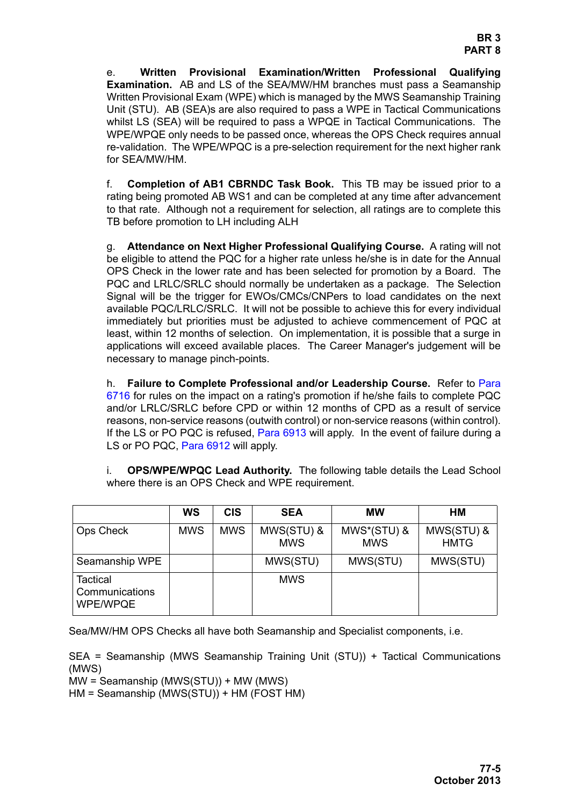e. **Written Provisional Examination/Written Professional Qualifying Examination.** AB and LS of the SEA/MW/HM branches must pass a Seamanship Written Provisional Exam (WPE) which is managed by the MWS Seamanship Training Unit (STU). AB (SEA)s are also required to pass a WPE in Tactical Communications whilst LS (SEA) will be required to pass a WPQE in Tactical Communications. The WPE/WPQE only needs to be passed once, whereas the OPS Check requires annual re-validation. The WPE/WPQC is a pre-selection requirement for the next higher rank for SEA/MW/HM.

f. **Completion of AB1 CBRNDC Task Book.** This TB may be issued prior to a rating being promoted AB WS1 and can be completed at any time after advancement to that rate. Although not a requirement for selection, all ratings are to complete this TB before promotion to LH including ALH

g. **Attendance on Next Higher Professional Qualifying Course.** A rating will not be eligible to attend the PQC for a higher rate unless he/she is in date for the Annual OPS Check in the lower rate and has been selected for promotion by a Board. The PQC and LRLC/SRLC should normally be undertaken as a package. The Selection Signal will be the trigger for EWOs/CMCs/CNPers to load candidates on the next available PQC/LRLC/SRLC. It will not be possible to achieve this for every individual immediately but priorities must be adjusted to achieve commencement of PQC at least, within 12 months of selection. On implementation, it is possible that a surge in applications will exceed available places. The Career Manager's judgement will be necessary to manage pinch-points.

h. **Failure to Complete Professional and/or Leadership Course.** Refer to Para 6716 for rules on the impact on a rating's promotion if he/she fails to complete PQC and/or LRLC/SRLC before CPD or within 12 months of CPD as a result of service reasons, non-service reasons (outwith control) or non-service reasons (within control). If the LS or PO PQC is refused, Para 6913 will apply. In the event of failure during a LS or PO PQC, Para 6912 will apply.

i. **OPS/WPE/WPQC Lead Authority.** The following table details the Lead School where there is an OPS Check and WPE requirement.

|                                        | <b>WS</b>  | <b>CIS</b> | <b>SEA</b>               | <b>MW</b>                 | HМ                        |
|----------------------------------------|------------|------------|--------------------------|---------------------------|---------------------------|
| <b>Ops Check</b>                       | <b>MWS</b> | <b>MWS</b> | MWS(STU) &<br><b>MWS</b> | MWS*(STU) &<br><b>MWS</b> | MWS(STU) &<br><b>HMTG</b> |
| Seamanship WPE                         |            |            | MWS(STU)                 | MWS(STU)                  | MWS(STU)                  |
| Tactical<br>Communications<br>WPE/WPQE |            |            | <b>MWS</b>               |                           |                           |

Sea/MW/HM OPS Checks all have both Seamanship and Specialist components, i.e.

SEA = Seamanship (MWS Seamanship Training Unit (STU)) + Tactical Communications (MWS) MW = Seamanship (MWS(STU)) + MW (MWS)

HM = Seamanship (MWS(STU)) + HM (FOST HM)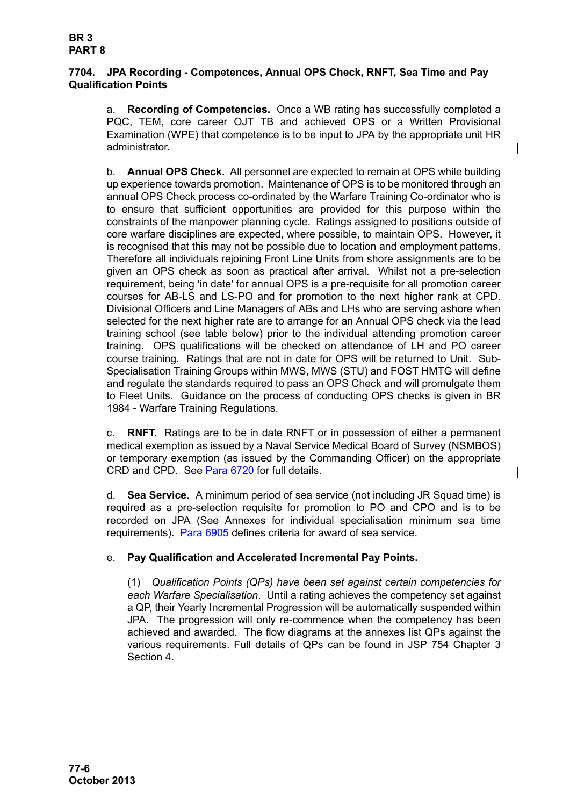### <span id="page-5-0"></span>**7704. JPA Recording - Competences, Annual OPS Check, RNFT, Sea Time and Pay Qualification Points**

a. **Recording of Competencies.** Once a WB rating has successfully completed a PQC, TEM, core career OJT TB and achieved OPS or a Written Provisional Examination (WPE) that competence is to be input to JPA by the appropriate unit HR administrator.

b. **Annual OPS Check.** All personnel are expected to remain at OPS while building up experience towards promotion. Maintenance of OPS is to be monitored through an annual OPS Check process co-ordinated by the Warfare Training Co-ordinator who is to ensure that sufficient opportunities are provided for this purpose within the constraints of the manpower planning cycle. Ratings assigned to positions outside of core warfare disciplines are expected, where possible, to maintain OPS. However, it is recognised that this may not be possible due to location and employment patterns. Therefore all individuals rejoining Front Line Units from shore assignments are to be given an OPS check as soon as practical after arrival. Whilst not a pre-selection requirement, being 'in date' for annual OPS is a pre-requisite for all promotion career courses for AB-LS and LS-PO and for promotion to the next higher rank at CPD. Divisional Officers and Line Managers of ABs and LHs who are serving ashore when selected for the next higher rate are to arrange for an Annual OPS check via the lead training school (see table below) prior to the individual attending promotion career training. OPS qualifications will be checked on attendance of LH and PO career course training. Ratings that are not in date for OPS will be returned to Unit. Sub-Specialisation Training Groups within MWS, MWS (STU) and FOST HMTG will define and regulate the standards required to pass an OPS Check and will promulgate them to Fleet Units. Guidance on the process of conducting OPS checks is given in BR 1984 - Warfare Training Regulations.

c. **RNFT.** Ratings are to be in date RNFT or in possession of either a permanent medical exemption as issued by a Naval Service Medical Board of Survey (NSMBOS) or temporary exemption (as issued by the Commanding Officer) on the appropriate CRD and CPD. See Para 6720 for full details.

d. **Sea Service.** A minimum period of sea service (not including JR Squad time) is required as a pre-selection requisite for promotion to PO and CPO and is to be recorded on JPA (See Annexes for individual specialisation minimum sea time requirements). Para 6905 defines criteria for award of sea service.

# e. **Pay Qualification and Accelerated Incremental Pay Points.**

(1) *Qualification Points (QPs) have been set against certain competencies for each Warfare Specialisation*. Until a rating achieves the competency set against a QP, their Yearly Incremental Progression will be automatically suspended within JPA. The progression will only re-commence when the competency has been achieved and awarded. The flow diagrams at the annexes list QPs against the various requirements. Full details of QPs can be found in JSP 754 Chapter 3 Section 4.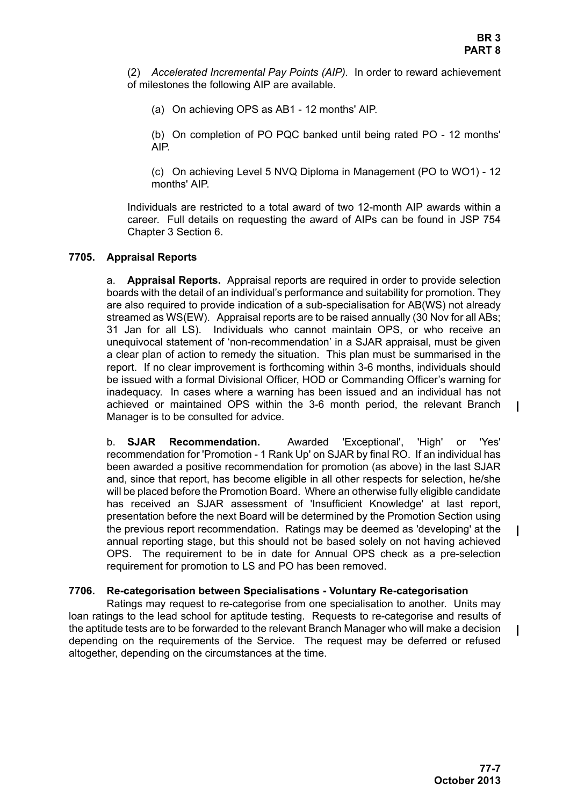(2) *Accelerated Incremental Pay Points (AIP).* In order to reward achievement of milestones the following AIP are available.

(a) On achieving OPS as AB1 - 12 months' AIP.

(b) On completion of PO PQC banked until being rated PO - 12 months' AIP.

(c) On achieving Level 5 NVQ Diploma in Management (PO to WO1) - 12 months' AIP.

Individuals are restricted to a total award of two 12-month AIP awards within a career. Full details on requesting the award of AIPs can be found in JSP 754 Chapter 3 Section 6.

### <span id="page-6-0"></span>**7705. Appraisal Reports**

a. **Appraisal Reports.** Appraisal reports are required in order to provide selection boards with the detail of an individual's performance and suitability for promotion. They are also required to provide indication of a sub-specialisation for AB(WS) not already streamed as WS(EW). Appraisal reports are to be raised annually (30 Nov for all ABs; 31 Jan for all LS). Individuals who cannot maintain OPS, or who receive an unequivocal statement of 'non-recommendation' in a SJAR appraisal, must be given a clear plan of action to remedy the situation. This plan must be summarised in the report. If no clear improvement is forthcoming within 3-6 months, individuals should be issued with a formal Divisional Officer, HOD or Commanding Officer's warning for inadequacy. In cases where a warning has been issued and an individual has not achieved or maintained OPS within the 3-6 month period, the relevant Branch Manager is to be consulted for advice.

b. **SJAR Recommendation.** Awarded 'Exceptional', 'High' or 'Yes' recommendation for 'Promotion - 1 Rank Up' on SJAR by final RO. If an individual has been awarded a positive recommendation for promotion (as above) in the last SJAR and, since that report, has become eligible in all other respects for selection, he/she will be placed before the Promotion Board. Where an otherwise fully eligible candidate has received an SJAR assessment of 'Insufficient Knowledge' at last report, presentation before the next Board will be determined by the Promotion Section using the previous report recommendation. Ratings may be deemed as 'developing' at the annual reporting stage, but this should not be based solely on not having achieved OPS. The requirement to be in date for Annual OPS check as a pre-selection requirement for promotion to LS and PO has been removed.

#### <span id="page-6-1"></span>**7706. Re-categorisation between Specialisations - Voluntary Re-categorisation**

Ratings may request to re-categorise from one specialisation to another. Units may loan ratings to the lead school for aptitude testing. Requests to re-categorise and results of the aptitude tests are to be forwarded to the relevant Branch Manager who will make a decision depending on the requirements of the Service. The request may be deferred or refused altogether, depending on the circumstances at the time.